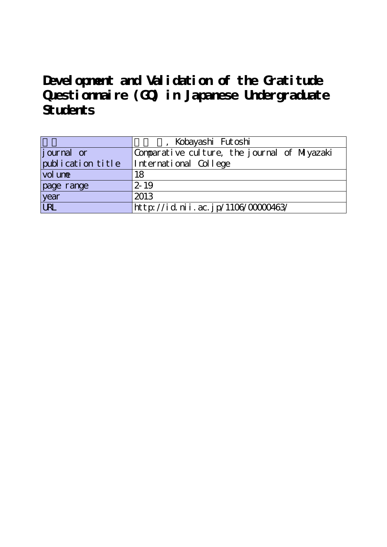**Development and Validation of the Gratitude Questionnaire (GQ) in Japanese Undergraduate Students**

|                   | Kobayashi Futoshi                            |  |  |  |  |  |  |
|-------------------|----------------------------------------------|--|--|--|--|--|--|
| journal or        | Comparative culture, the journal of Miyazaki |  |  |  |  |  |  |
| publication title | International College                        |  |  |  |  |  |  |
| vol une           | 18                                           |  |  |  |  |  |  |
| page range        | $2 - 19$                                     |  |  |  |  |  |  |
| year              | 2013                                         |  |  |  |  |  |  |
| URL               | http://id.nii.ac.jp/1106/0000463/            |  |  |  |  |  |  |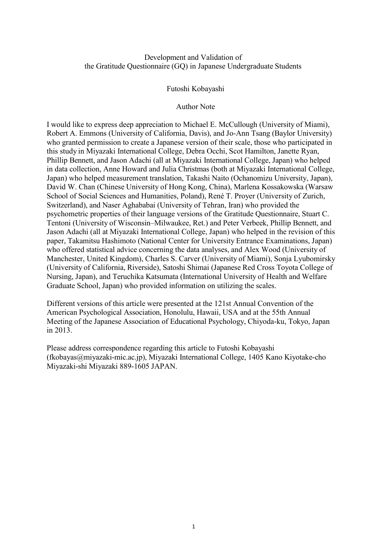## Development and Validation of the Gratitude Questionnaire (GQ) in Japanese Undergraduate Students

### Futoshi Kobayashi

## Author Note

I would like to express deep appreciation to Michael E. McCullough (University of Miami), Robert A. Emmons (University of California, Davis), and Jo-Ann Tsang (Baylor University) who granted permission to create a Japanese version of their scale, those who participated in this study in Miyazaki International College, Debra Occhi, Scot Hamilton, Janette Ryan, Phillip Bennett, and Jason Adachi (all at Miyazaki International College, Japan) who helped in data collection, Anne Howard and Julia Christmas (both at Miyazaki International College, Japan) who helped measurement translation, Takashi Naito (Ochanomizu University, Japan), David W. Chan (Chinese University of Hong Kong, China), Marlena Kossakowska (Warsaw School of Social Sciences and Humanities, Poland), René T. Proyer (University of Zurich, Switzerland), and Naser Aghababai (University of Tehran, Iran) who provided the psychometric properties of their language versions of the Gratitude Questionnaire, Stuart C. Tentoni (University of Wisconsin–Milwaukee, Ret.) and Peter Verbeek, Phillip Bennett, and Jason Adachi (all at Miyazaki International College, Japan) who helped in the revision of this paper, Takamitsu Hashimoto (National Center for University Entrance Examinations, Japan) who offered statistical advice concerning the data analyses, and Alex Wood (University of Manchester, United Kingdom), Charles S. Carver (University of Miami), Sonja Lyubomirsky (University of California, Riverside), Satoshi Shimai (Japanese Red Cross Toyota College of Nursing, Japan), and Teruchika Katsumata (International University of Health and Welfare Graduate School, Japan) who provided information on utilizing the scales.

Different versions of this article were presented at the 121st Annual Convention of the American Psychological Association, Honolulu, Hawaii, USA and at the 55th Annual Meeting of the Japanese Association of Educational Psychology, Chiyoda-ku, Tokyo, Japan in 2013.

Please address correspondence regarding this article to Futoshi Kobayashi (fkobayas@miyazaki-mic.ac.jp), Miyazaki International College, 1405 Kano Kiyotake-cho Miyazaki-shi Miyazaki 889-1605 JAPAN.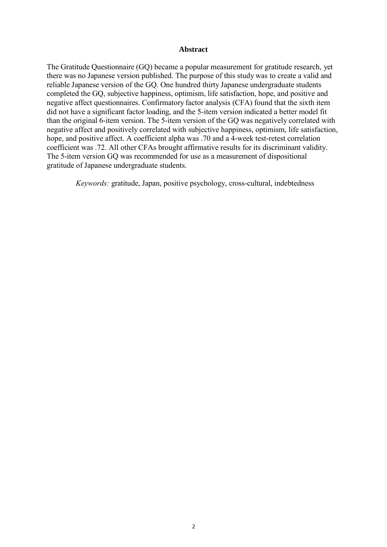#### **Abstract**

The Gratitude Questionnaire (GQ) became a popular measurement for gratitude research, yet there was no Japanese version published. The purpose of this study was to create a valid and reliable Japanese version of the GQ. One hundred thirty Japanese undergraduate students completed the GQ, subjective happiness, optimism, life satisfaction, hope, and positive and negative affect questionnaires. Confirmatory factor analysis (CFA) found that the sixth item did not have a significant factor loading, and the 5-item version indicated a better model fit than the original 6-item version. The 5-item version of the GQ was negatively correlated with negative affect and positively correlated with subjective happiness, optimism, life satisfaction, hope, and positive affect. A coefficient alpha was .70 and a 4-week test-retest correlation coefficient was .72. All other CFAs brought affirmative results for its discriminant validity. The 5-item version GQ was recommended for use as a measurement of dispositional gratitude of Japanese undergraduate students.

*Keywords:* gratitude, Japan, positive psychology, cross-cultural, indebtedness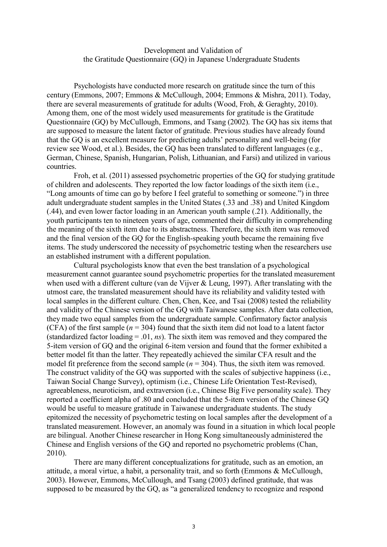## Development and Validation of the Gratitude Questionnaire (GQ) in Japanese Undergraduate Students

Psychologists have conducted more research on gratitude since the turn of this century (Emmons, 2007; Emmons & McCullough, 2004; Emmons & Mishra, 2011). Today, there are several measurements of gratitude for adults (Wood, Froh, & Geraghty, 2010). Among them, one of the most widely used measurements for gratitude is the Gratitude Questionnaire (GQ) by McCullough, Emmons, and Tsang (2002). The GQ has six items that are supposed to measure the latent factor of gratitude. Previous studies have already found that the GQ is an excellent measure for predicting adults' personality and well-being (for review see Wood, et al.). Besides, the GQ has been translated to different languages (e.g., German, Chinese, Spanish, Hungarian, Polish, Lithuanian, and Farsi) and utilized in various countries.

Froh, et al. (2011) assessed psychometric properties of the GQ for studying gratitude of children and adolescents. They reported the low factor loadings of the sixth item (i.e., "Long amounts of time can go by before I feel grateful to something or someone.") in three adult undergraduate student samples in the United States (.33 and .38) and United Kingdom (.44), and even lower factor loading in an American youth sample (.21). Additionally, the youth participants ten to nineteen years of age, commented their difficulty in comprehending the meaning of the sixth item due to its abstractness. Therefore, the sixth item was removed and the final version of the GQ for the English-speaking youth became the remaining five items. The study underscored the necessity of psychometric testing when the researchers use an established instrument with a different population.

Cultural psychologists know that even the best translation of a psychological measurement cannot guarantee sound psychometric properties for the translated measurement when used with a different culture (van de Vijver  $\&$  Leung, 1997). After translating with the utmost care, the translated measurement should have its reliability and validity tested with local samples in the different culture. Chen, Chen, Kee, and Tsai (2008) tested the reliability and validity of the Chinese version of the GQ with Taiwanese samples. After data collection, they made two equal samples from the undergraduate sample. Confirmatory factor analysis (CFA) of the first sample ( $n = 304$ ) found that the sixth item did not load to a latent factor (standardized factor loading = .01, *ns*). The sixth item was removed and they compared the 5-item version of GQ and the original 6-item version and found that the former exhibited a better model fit than the latter. They repeatedly achieved the similar CFA result and the model fit preference from the second sample  $(n = 304)$ . Thus, the sixth item was removed. The construct validity of the GQ was supported with the scales of subjective happiness (i.e., Taiwan Social Change Survey), optimism (i.e., Chinese Life Orientation Test-Revised), agreeableness, neuroticism, and extraversion (i.e., Chinese Big Five personality scale). They reported a coefficient alpha of .80 and concluded that the 5-item version of the Chinese GQ would be useful to measure gratitude in Taiwanese undergraduate students. The study epitomized the necessity of psychometric testing on local samples after the development of a translated measurement. However, an anomaly was found in a situation in which local people are bilingual. Another Chinese researcher in Hong Kong simultaneously administered the Chinese and English versions of the GQ and reported no psychometric problems (Chan, 2010).

There are many different conceptualizations for gratitude, such as an emotion, an attitude, a moral virtue, a habit, a personality trait, and so forth (Emmons & McCullough, 2003). However, Emmons, McCullough, and Tsang (2003) defined gratitude, that was supposed to be measured by the GQ, as "a generalized tendency to recognize and respond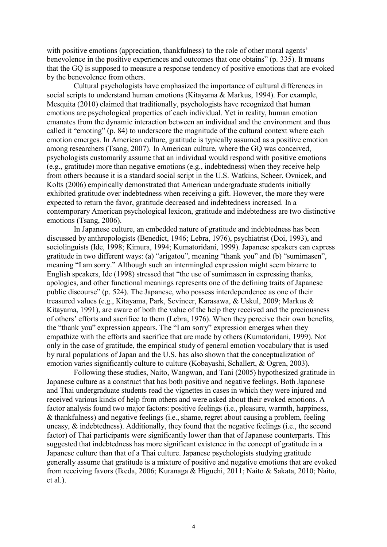with positive emotions (appreciation, thankfulness) to the role of other moral agents' benevolence in the positive experiences and outcomes that one obtains" (p. 335). It means that the GQ is supposed to measure a response tendency of positive emotions that are evoked by the benevolence from others.

Cultural psychologists have emphasized the importance of cultural differences in social scripts to understand human emotions (Kitayama & Markus, 1994). For example, Mesquita (2010) claimed that traditionally, psychologists have recognized that human emotions are psychological properties of each individual. Yet in reality, human emotion emanates from the dynamic interaction between an individual and the environment and thus called it "emoting" (p. 84) to underscore the magnitude of the cultural context where each emotion emerges. In American culture, gratitude is typically assumed as a positive emotion among researchers (Tsang, 2007). In American culture, where the GQ was conceived, psychologists customarily assume that an individual would respond with positive emotions (e.g., gratitude) more than negative emotions (e.g., indebtedness) when they receive help from others because it is a standard social script in the U.S. Watkins, Scheer, Ovnicek, and Kolts (2006) empirically demonstrated that American undergraduate students initially exhibited gratitude over indebtedness when receiving a gift. However, the more they were expected to return the favor, gratitude decreased and indebtedness increased. In a contemporary American psychological lexicon, gratitude and indebtedness are two distinctive emotions (Tsang, 2006).

In Japanese culture, an embedded nature of gratitude and indebtedness has been discussed by anthropologists (Benedict, 1946; Lebra, 1976), psychiatrist (Doi, 1993), and sociolinguists (Ide, 1998; Kimura, 1994; Kumatoridani, 1999). Japanese speakers can express gratitude in two different ways: (a) "arigatou", meaning "thank you" and (b) "sumimasen", meaning "I am sorry." Although such an intermingled expression might seem bizarre to English speakers, Ide (1998) stressed that "the use of sumimasen in expressing thanks, apologies, and other functional meanings represents one of the defining traits of Japanese public discourse" (p. 524). The Japanese, who possess interdependence as one of their treasured values (e.g., Kitayama, Park, Sevincer, Karasawa, & Uskul, 2009; Markus & Kitayama, 1991), are aware of both the value of the help they received and the preciousness of others' efforts and sacrifice to them (Lebra, 1976). When they perceive their own benefits, the "thank you" expression appears. The "I am sorry" expression emerges when they empathize with the efforts and sacrifice that are made by others (Kumatoridani, 1999). Not only in the case of gratitude, the empirical study of general emotion vocabulary that is used by rural populations of Japan and the U.S. has also shown that the conceptualization of emotion varies significantly culture to culture (Kobayashi, Schallert, & Ogren, 2003).

Following these studies, Naito, Wangwan, and Tani (2005) hypothesized gratitude in Japanese culture as a construct that has both positive and negative feelings. Both Japanese and Thai undergraduate students read the vignettes in cases in which they were injured and received various kinds of help from others and were asked about their evoked emotions. A factor analysis found two major factors: positive feelings (i.e., pleasure, warmth, happiness, & thankfulness) and negative feelings (i.e., shame, regret about causing a problem, feeling uneasy, & indebtedness). Additionally, they found that the negative feelings (i.e., the second factor) of Thai participants were significantly lower than that of Japanese counterparts. This suggested that indebtedness has more significant existence in the concept of gratitude in a Japanese culture than that of a Thai culture. Japanese psychologists studying gratitude generally assume that gratitude is a mixture of positive and negative emotions that are evoked from receiving favors (Ikeda, 2006; Kuranaga & Higuchi, 2011; Naito & Sakata, 2010; Naito, et al.).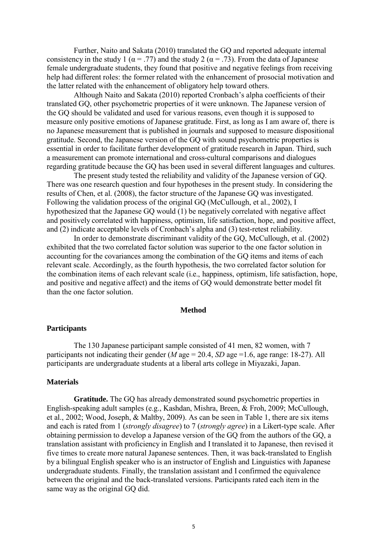Further, Naito and Sakata (2010) translated the GQ and reported adequate internal consistency in the study 1 ( $\alpha$  = .77) and the study 2 ( $\alpha$  = .73). From the data of Japanese female undergraduate students, they found that positive and negative feelings from receiving help had different roles: the former related with the enhancement of prosocial motivation and the latter related with the enhancement of obligatory help toward others.

Although Naito and Sakata (2010) reported Cronbach's alpha coefficients of their translated GQ, other psychometric properties of it were unknown. The Japanese version of the GQ should be validated and used for various reasons, even though it is supposed to measure only positive emotions of Japanese gratitude. First, as long as I am aware of, there is no Japanese measurement that is published in journals and supposed to measure dispositional gratitude. Second, the Japanese version of the GQ with sound psychometric properties is essential in order to facilitate further development of gratitude research in Japan. Third, such a measurement can promote international and cross-cultural comparisons and dialogues regarding gratitude because the GQ has been used in several different languages and cultures.

The present study tested the reliability and validity of the Japanese version of GQ. There was one research question and four hypotheses in the present study. In considering the results of Chen, et al. (2008), the factor structure of the Japanese GQ was investigated. Following the validation process of the original GQ (McCullough, et al., 2002), I hypothesized that the Japanese GQ would (1) be negatively correlated with negative affect and positively correlated with happiness, optimism, life satisfaction, hope, and positive affect, and (2) indicate acceptable levels of Cronbach's alpha and (3) test-retest reliability.

In order to demonstrate discriminant validity of the GQ, McCullough, et al. (2002) exhibited that the two correlated factor solution was superior to the one factor solution in accounting for the covariances among the combination of the GQ items and items of each relevant scale. Accordingly, as the fourth hypothesis, the two correlated factor solution for the combination items of each relevant scale (i.e., happiness, optimism, life satisfaction, hope, and positive and negative affect) and the items of GQ would demonstrate better model fit than the one factor solution.

#### **Method**

#### **Participants**

The 130 Japanese participant sample consisted of 41 men, 82 women, with 7 participants not indicating their gender ( $M$  age = 20.4,  $SD$  age = 1.6, age range: 18-27). All participants are undergraduate students at a liberal arts college in Miyazaki, Japan.

### **Materials**

**Gratitude.** The GQ has already demonstrated sound psychometric properties in English-speaking adult samples (e.g., Kashdan, Mishra, Breen, & Froh, 2009; McCullough, et al., 2002; Wood, Joseph, & Maltby, 2009). As can be seen in Table 1, there are six items and each is rated from 1 (*strongly disagree*) to 7 (*strongly agree*) in a Likert-type scale. After obtaining permission to develop a Japanese version of the GQ from the authors of the GQ, a translation assistant with proficiency in English and I translated it to Japanese, then revised it five times to create more natural Japanese sentences. Then, it was back-translated to English by a bilingual English speaker who is an instructor of English and Linguistics with Japanese undergraduate students. Finally, the translation assistant and I confirmed the equivalence between the original and the back-translated versions. Participants rated each item in the same way as the original GQ did.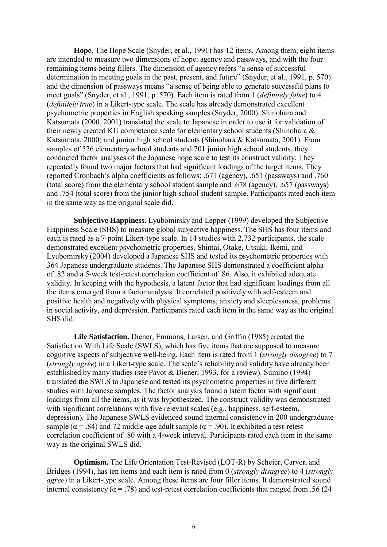**Hope.** The Hope Scale (Snyder, et al., 1991) has 12 items. Among them, eight items are intended to measure two dimensions of hope: agency and passways, and with the four remaining items being fillers. The dimension of agency refers "a sense of successful determination in meeting goals in the past, present, and future" (Snyder, et al., 1991, p. 570) and the dimension of passways means "a sense of being able to generate successful plans to meet goals" (Snyder, et al., 1991, p. 570). Each item is rated from 1 (*definitely false*) to 4 (*definitely true*) in a Likert-type scale. The scale has already demonstrated excellent psychometric properties in English speaking samples (Snyder, 2000). Shinohara and Katsumata (2000, 2001) translated the scale to Japanese in order to use it for validation of their newly created KU competence scale for elementary school students (Shinohara & Katsumata, 2000) and junior high school students (Shinohara & Katsumata, 2001). From samples of 526 elementary school students and 701 junior high school students, they conducted factor analyses of the Japanese hope scale to test its construct validity. They repeatedly found two major factors that had significant loadings of the target items. They reported Cronbach's alpha coefficients as follows: .671 (agency), .651 (passways) and .760 (total score) from the elementary school student sample and .678 (agency), .657 (passways) and .754 (total score) from the junior high school student sample. Participants rated each item in the same way as the original scale did.

**Subjective Happiness.** Lyubomirsky and Lepper (1999) developed the Subjective Happiness Scale (SHS) to measure global subjective happiness. The SHS has four items and each is rated as a 7-point Likert-type scale. In 14 studies with 2,732 participants, the scale demonstrated excellent psychometric properties. Shimai, Otake, Utsuki, Ikemi, and Lyubomirsky (2004) developed a Japanese SHS and tested its psychometric properties with 364 Japanese undergraduate students. The Japanese SHS demonstrated a coefficient alpha of .82 and a 5-week test-retest correlation coefficient of .86. Also, it exhibited adequate validity. In keeping with the hypothesis, a latent factor that had significant loadings from all the items emerged from a factor analysis. It correlated positively with self-esteem and positive health and negatively with physical symptoms, anxiety and sleeplessness, problems in social activity, and depression. Participants rated each item in the same way as the original SHS did.

**Life Satisfaction.** Diener, Emmons, Larsen, and Griffin (1985) created the Satisfaction With Life Scale (SWLS), which has five items that are supposed to measure cognitive aspects of subjective well-being. Each item is rated from 1 (*strongly disagree*) to 7 (*strongly agree*) in a Likert-type scale. The scale's reliability and validity have already been established by many studies (see Pavot & Diener, 1993, for a review). Sumino (1994) translated the SWLS to Japanese and tested its psychometric properties in five different studies with Japanese samples. The factor analysis found a latent factor with significant loadings from all the items, as it was hypothesized. The construct validity was demonstrated with significant correlations with five relevant scales (e.g., happiness, self-esteem, depression). The Japanese SWLS evidenced sound internal consistency in 200 undergraduate sample ( $\alpha$  = .84) and 72 middle-age adult sample ( $\alpha$  = .90). It exhibited a test-retest correlation coefficient of .80 with a 4-week interval. Participants rated each item in the same way as the original SWLS did.

**Optimism.** The Life Orientation Test-Revised (LOT-R) by Scheier, Carver, and Bridges (1994), has ten items and each item is rated from 0 (*strongly disagree*) to 4 (*strongly agree*) in a Likert-type scale. Among these items are four filler items. It demonstrated sound internal consistency ( $\alpha$  = .78) and test-retest correlation coefficients that ranged from .56 (24)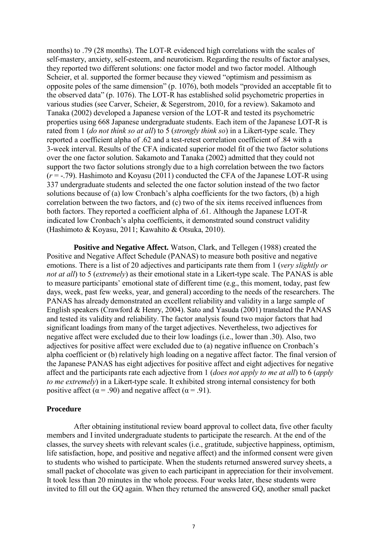months) to .79 (28 months). The LOT-R evidenced high correlations with the scales of self-mastery, anxiety, self-esteem, and neuroticism. Regarding the results of factor analyses, they reported two different solutions: one factor model and two factor model. Although Scheier, et al. supported the former because they viewed "optimism and pessimism as opposite poles of the same dimension" (p. 1076), both models "provided an acceptable fit to the observed data" (p. 1076). The LOT-R has established solid psychometric properties in various studies (see Carver, Scheier, & Segerstrom, 2010, for a review). Sakamoto and Tanaka (2002) developed a Japanese version of the LOT-R and tested its psychometric properties using 668 Japanese undergraduate students. Each item of the Japanese LOT-R is rated from 1 (*do not think so at all*) to 5 (*strongly think so*) in a Likert-type scale. They reported a coefficient alpha of .62 and a test-retest correlation coefficient of .84 with a 3-week interval. Results of the CFA indicated superior model fit of the two factor solutions over the one factor solution. Sakamoto and Tanaka (2002) admitted that they could not support the two factor solutions strongly due to a high correlation between the two factors (*r* = -.79). Hashimoto and Koyasu (2011) conducted the CFA of the Japanese LOT-R using 337 undergraduate students and selected the one factor solution instead of the two factor solutions because of (a) low Cronbach's alpha coefficients for the two factors, (b) a high correlation between the two factors, and (c) two of the six items received influences from both factors. They reported a coefficient alpha of .61. Although the Japanese LOT-R indicated low Cronbach's alpha coefficients, it demonstrated sound construct validity (Hashimoto & Koyasu, 2011; Kawahito & Otsuka, 2010).

**Positive and Negative Affect.** Watson, Clark, and Tellegen (1988) created the Positive and Negative Affect Schedule (PANAS) to measure both positive and negative emotions. There is a list of 20 adjectives and participants rate them from 1 (*very slightly or not at all*) to 5 (*extremely*) as their emotional state in a Likert-type scale. The PANAS is able to measure participants' emotional state of different time (e.g., this moment, today, past few days, week, past few weeks, year, and general) according to the needs of the researchers. The PANAS has already demonstrated an excellent reliability and validity in a large sample of English speakers (Crawford & Henry, 2004). Sato and Yasuda (2001) translated the PANAS and tested its validity and reliability. The factor analysis found two major factors that had significant loadings from many of the target adjectives. Nevertheless, two adjectives for negative affect were excluded due to their low loadings (i.e., lower than .30). Also, two adjectives for positive affect were excluded due to (a) negative influence on Cronbach's alpha coefficient or (b) relatively high loading on a negative affect factor. The final version of the Japanese PANAS has eight adjectives for positive affect and eight adjectives for negative affect and the participants rate each adjective from 1 (*does not apply to me at all*) to 6 (*apply to me extremely*) in a Likert-type scale. It exhibited strong internal consistency for both positive affect ( $\alpha$  = .90) and negative affect ( $\alpha$  = .91).

### **Procedure**

After obtaining institutional review board approval to collect data, five other faculty members and I invited undergraduate students to participate the research. At the end of the classes, the survey sheets with relevant scales (i.e., gratitude, subjective happiness, optimism, life satisfaction, hope, and positive and negative affect) and the informed consent were given to students who wished to participate. When the students returned answered survey sheets, a small packet of chocolate was given to each participant in appreciation for their involvement. It took less than 20 minutes in the whole process. Four weeks later, these students were invited to fill out the GQ again. When they returned the answered GQ, another small packet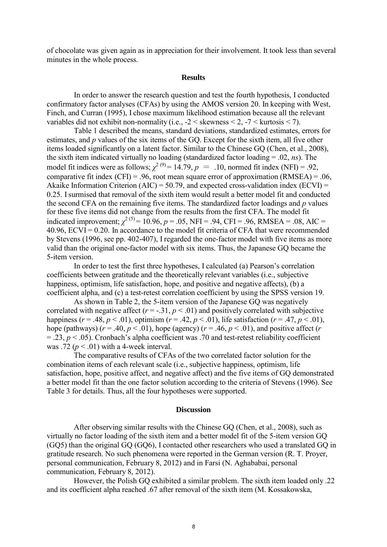of chocolate was given again as in appreciation for their involvement. It took less than several minutes in the whole process.

### **Results**

In order to answer the research question and test the fourth hypothesis, I conducted confirmatory factor analyses (CFAs) by using the AMOS version 20. In keeping with West, Finch, and Curran (1995), I chose maximum likelihood estimation because all the relevant variables did not exhibit non-normality (i.e.,  $-2 <$  skewness  $<$  2,  $-7 <$  kurtosis  $<$  7).

Table 1 described the means, standard deviations, standardized estimates, errors for estimates, and *p* values of the six items of the GQ. Except for the sixth item, all five other items loaded significantly on a latent factor. Similar to the Chinese GQ (Chen, et al., 2008), the sixth item indicated virtually no loading (standardized factor loading = .02, *ns*). The model fit indices were as follows;  $\chi^{2(9)} = 14.79$ ,  $p = .10$ , normed fit index (NFI) = .92, comparative fit index (CFI) = .96, root mean square error of approximation (RMSEA) = .06, Akaike Information Criterion (AIC) = 50.79, and expected cross-validation index (ECVI) = 0.25. I surmised that removal of the sixth item would result a better model fit and conducted the second CFA on the remaining five items. The standardized factor loadings and *p* values for these five items did not change from the results from the first CFA. The model fit indicated improvement;  $\chi^{2(5)}$  = 10.96,  $p$  = .05, NFI = .94, CFI = .96, RMSEA = .08, AIC = 40.96,  $ECVI = 0.20$ . In accordance to the model fit criteria of CFA that were recommended by Stevens (1996, see pp. 402-407), I regarded the one-factor model with five items as more valid than the original one-factor model with six items. Thus, the Japanese GQ became the 5-item version.

In order to test the first three hypotheses, I calculated (a) Pearson's correlation coefficients between gratitude and the theoretically relevant variables (i.e., subjective happiness, optimism, life satisfaction, hope, and positive and negative affects), (b) a coefficient alpha, and (c) a test-retest correlation coefficient by using the SPSS version 19.

As shown in Table 2, the 5-item version of the Japanese GQ was negatively correlated with negative affect  $(r = -.31, p < .01)$  and positively correlated with subjective happiness ( $r = .48$ ,  $p < .01$ ), optimism ( $r = .42$ ,  $p < .01$ ), life satisfaction ( $r = .47$ ,  $p < .01$ ), hope (pathways) ( $r = .40$ ,  $p < .01$ ), hope (agency) ( $r = .46$ ,  $p < .01$ ), and positive affect ( $r = .46$ )  $=$  .23,  $p <$  .05). Cronbach's alpha coefficient was .70 and test-retest reliability coefficient was .72 ( $p < .01$ ) with a 4-week interval.

The comparative results of CFAs of the two correlated factor solution for the combination items of each relevant scale (i.e., subjective happiness, optimism, life satisfaction, hope, positive affect, and negative affect) and the five items of GQ demonstrated a better model fit than the one factor solution according to the criteria of Stevens (1996). See Table 3 for details. Thus, all the four hypotheses were supported.

### **Discussion**

After observing similar results with the Chinese GQ (Chen, et al., 2008), such as virtually no factor loading of the sixth item and a better model fit of the 5-item version GQ (GQ5) than the original GQ (GQ6), I contacted other researchers who used a translated GQ in gratitude research. No such phenomena were reported in the German version (R. T. Proyer, personal communication, February 8, 2012) and in Farsi (N. Aghababai, personal communication, February 8, 2012).

However, the Polish GQ exhibited a similar problem. The sixth item loaded only .22 and its coefficient alpha reached .67 after removal of the sixth item (M. Kossakowska,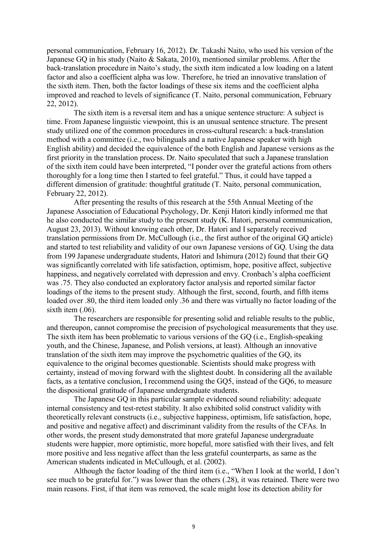personal communication, February 16, 2012). Dr. Takashi Naito, who used his version of the Japanese GQ in his study (Naito & Sakata, 2010), mentioned similar problems. After the back-translation procedure in Naito's study, the sixth item indicated a low loading on a latent factor and also a coefficient alpha was low. Therefore, he tried an innovative translation of the sixth item. Then, both the factor loadings of these six items and the coefficient alpha improved and reached to levels of significance (T. Naito, personal communication, February 22, 2012).

The sixth item is a reversal item and has a unique sentence structure: A subject is time. From Japanese linguistic viewpoint, this is an unusual sentence structure. The present study utilized one of the common procedures in cross-cultural research: a back-translation method with a committee (i.e., two bilinguals and a native Japanese speaker with high English ability) and decided the equivalence of the both English and Japanese versions as the first priority in the translation process. Dr. Naito speculated that such a Japanese translation of the sixth item could have been interpreted, "I ponder over the grateful actions from others thoroughly for a long time then I started to feel grateful." Thus, it could have tapped a different dimension of gratitude: thoughtful gratitude (T. Naito, personal communication, February 22, 2012).

After presenting the results of this research at the 55th Annual Meeting of the Japanese Association of Educational Psychology, Dr. Kenji Hatori kindly informed me that he also conducted the similar study to the present study (K. Hatori, personal communication, August 23, 2013). Without knowing each other, Dr. Hatori and I separately received translation permissions from Dr. McCullough (i.e., the first author of the original GQ article) and started to test reliability and validity of our own Japanese versions of GQ. Using the data from 199 Japanese undergraduate students, Hatori and Ishimura (2012) found that their GQ was significantly correlated with life satisfaction, optimism, hope, positive affect, subjective happiness, and negatively correlated with depression and envy. Cronbach's alpha coefficient was .75. They also conducted an exploratory factor analysis and reported similar factor loadings of the items to the present study. Although the first, second, fourth, and fifth items loaded over .80, the third item loaded only .36 and there was virtually no factor loading of the sixth item  $(.06)$ .

The researchers are responsible for presenting solid and reliable results to the public, and thereupon, cannot compromise the precision of psychological measurements that they use. The sixth item has been problematic to various versions of the GQ (i.e., English-speaking youth, and the Chinese, Japanese, and Polish versions, at least). Although an innovative translation of the sixth item may improve the psychometric qualities of the GQ, its equivalence to the original becomes questionable. Scientists should make progress with certainty, instead of moving forward with the slightest doubt. In considering all the available facts, as a tentative conclusion, I recommend using the GQ5, instead of the GQ6, to measure the dispositional gratitude of Japanese undergraduate students.

The Japanese GQ in this particular sample evidenced sound reliability: adequate internal consistency and test-retest stability. It also exhibited solid construct validity with theoretically relevant constructs (i.e., subjective happiness, optimism, life satisfaction, hope, and positive and negative affect) and discriminant validity from the results of the CFAs. In other words, the present study demonstrated that more grateful Japanese undergraduate students were happier, more optimistic, more hopeful, more satisfied with their lives, and felt more positive and less negative affect than the less grateful counterparts, as same as the American students indicated in McCullough, et al. (2002).

Although the factor loading of the third item (i.e., "When I look at the world, I don't see much to be grateful for.") was lower than the others (.28), it was retained. There were two main reasons. First, if that item was removed, the scale might lose its detection ability for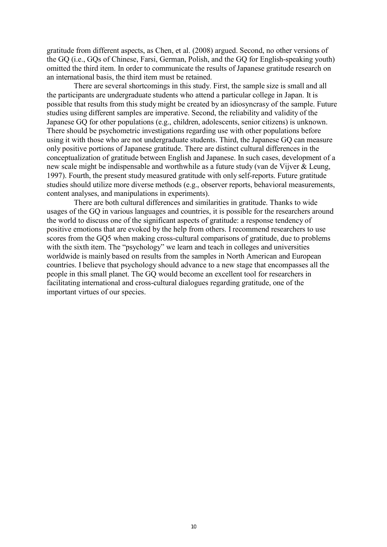gratitude from different aspects, as Chen, et al. (2008) argued. Second, no other versions of the GQ (i.e., GQs of Chinese, Farsi, German, Polish, and the GQ for English-speaking youth) omitted the third item. In order to communicate the results of Japanese gratitude research on an international basis, the third item must be retained.

There are several shortcomings in this study. First, the sample size is small and all the participants are undergraduate students who attend a particular college in Japan. It is possible that results from this study might be created by an idiosyncrasy of the sample. Future studies using different samples are imperative. Second, the reliability and validity of the Japanese GQ for other populations (e.g., children, adolescents, senior citizens) is unknown. There should be psychometric investigations regarding use with other populations before using it with those who are not undergraduate students. Third, the Japanese GQ can measure only positive portions of Japanese gratitude. There are distinct cultural differences in the conceptualization of gratitude between English and Japanese. In such cases, development of a new scale might be indispensable and worthwhile as a future study (van de Vijver & Leung, 1997). Fourth, the present study measured gratitude with only self-reports. Future gratitude studies should utilize more diverse methods (e.g., observer reports, behavioral measurements, content analyses, and manipulations in experiments).

There are both cultural differences and similarities in gratitude. Thanks to wide usages of the GQ in various languages and countries, it is possible for the researchers around the world to discuss one of the significant aspects of gratitude: a response tendency of positive emotions that are evoked by the help from others. I recommend researchers to use scores from the GQ5 when making cross-cultural comparisons of gratitude, due to problems with the sixth item. The "psychology" we learn and teach in colleges and universities worldwide is mainly based on results from the samples in North American and European countries. I believe that psychology should advance to a new stage that encompasses all the people in this small planet. The GQ would become an excellent tool for researchers in facilitating international and cross-cultural dialogues regarding gratitude, one of the important virtues of our species.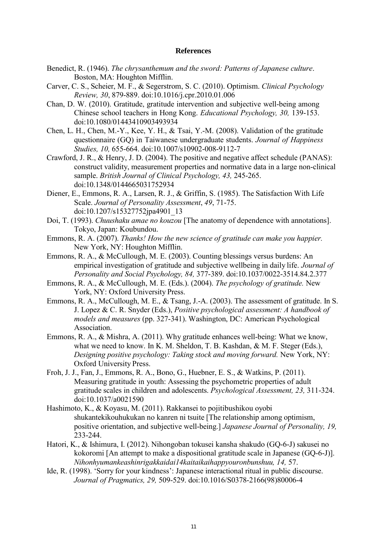#### **References**

- Benedict, R. (1946). *The chrysanthemum and the sword: Patterns of Japanese culture*. Boston, MA: Houghton Mifflin.
- Carver, C. S., Scheier, M. F., & Segerstrom, S. C. (2010). Optimism. *Clinical Psychology Review, 30*, 879-889. doi:10.1016/j.cpr.2010.01.006
- Chan, D. W. (2010). Gratitude, gratitude intervention and subjective well-being among Chinese school teachers in Hong Kong. *Educational Psychology, 30,* 139-153. doi:10.1080/01443410903493934
- Chen, L. H., Chen, M.-Y., Kee, Y. H., & Tsai, Y.-M. (2008). Validation of the gratitude questionnaire (GQ) in Taiwanese undergraduate students. *Journal of Happiness Studies, 10,* 655-664. doi:10.1007/s10902-008-9112-7
- Crawford, J. R., & Henry, J. D. (2004). The positive and negative affect schedule (PANAS): construct validity, measurement properties and normative data in a large non-clinical sample. *British Journal of Clinical Psychology, 43,* 245-265. doi:10.1348/0144665031752934
- Diener, E., Emmons, R. A., Larsen, R. J., & Griffin, S. (1985). The Satisfaction With Life Scale. *Journal of Personality Assessment*, *49*, 71-75. doi:10.1207/s15327752jpa4901\_13
- Doi, T. (1993). *Chuushaku amae no kouzou* [The anatomy of dependence with annotations]. Tokyo, Japan: Koubundou.
- Emmons, R. A. (2007). *Thanks! How the new science of gratitude can make you happier.* New York, NY: Houghton Mifflin.
- Emmons, R. A., & McCullough, M. E. (2003). Counting blessings versus burdens: An empirical investigation of gratitude and subjective wellbeing in daily life. *Journal of Personality and Social Psychology, 84,* 377-389. doi:10.1037/0022-3514.84.2.377
- Emmons, R. A., & McCullough, M. E. (Eds.). (2004). *The psychology of gratitude.* New York, NY: Oxford University Press.
- Emmons, R. A., McCullough, M. E., & Tsang, J.-A. (2003). The assessment of gratitude. In S. J. Lopez & C. R. Snyder (Eds.), *Positive psychological assessment: A handbook of models and measures* (pp. 327-341). Washington, DC: American Psychological Association.
- Emmons, R. A., & Mishra, A. (2011). Why gratitude enhances well-being: What we know, what we need to know. In K. M. Sheldon, T. B. Kashdan, & M. F. Steger (Eds.), *Designing positive psychology: Taking stock and moving forward.* New York, NY: Oxford University Press.
- Froh, J. J., Fan, J., Emmons, R. A., Bono, G., Huebner, E. S., & Watkins, P. (2011). Measuring gratitude in youth: Assessing the psychometric properties of adult gratitude scales in children and adolescents. *Psychological Assessment, 23,* 311-324. doi:10.1037/a0021590
- Hashimoto, K., & Koyasu, M. (2011). Rakkansei to pojitibushikou oyobi shukantekikouhukukan no kanren ni tsuite [The relationship among optimism, positive orientation, and subjective well-being.] *Japanese Journal of Personality, 19,*  233-244.
- Hatori, K., & Ishimura, I. (2012). Nihongoban tokusei kansha shakudo (GQ-6-J) sakusei no kokoromi [An attempt to make a dispositional gratitude scale in Japanese (GQ-6-J)]. *Nihonhyumankeashinrigakkaidai14kaitaikaihappyouronbunshuu, 14,* 57.
- Ide, R. (1998). 'Sorry for your kindness': Japanese interactional ritual in public discourse. *Journal of Pragmatics, 29,* 509-529. doi:10.1016/S0378-2166(98)80006-4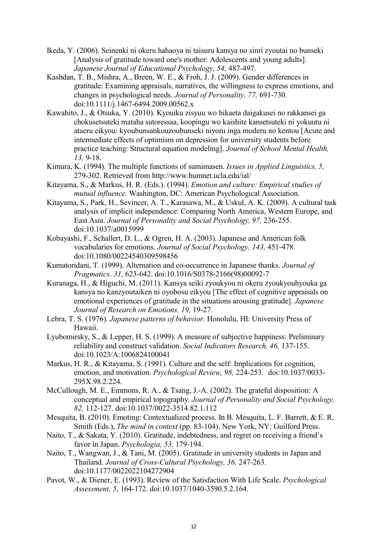- Ikeda, Y. (2006). Seinenki ni okeru hahaoya ni taisuru kansya no sinri zyoutai no bunseki [Analysis of gratitude toward one's mother: Adolescents and young adults]. *Japanese Journal of Educational Psychology, 54,* 487-497.
- Kashdan, T. B., Mishra, A., Breen, W. E., & Froh, J. J. (2009). Gender differences in gratitude: Examining appraisals, narratives, the willingness to express emotions, and changes in psychological needs. *Journal of Personality, 77,* 691-730. doi:10.1111/j.1467-6494.2009.00562.x
- Kawahito, J., & Otsuka, Y. (2010). Kyouiku zisyuu wo hikaeta daigakusei no rakkansei ga chokusetsuteki mataha sutoressaa, koopingu wo kaishite kansetsuteki ni yokuutu ni ataeru eikyou: kyoubunsankouzoubunseki niyoru inga moderu no kentou [Acute and intermediate effects of optimism on depression for university students before practice teaching: Structural equation modeling]. *Journal of School Mental Health, 13,* 9-18.
- Kimura, K. (1994). The multiple functions of sumimasen. *Issues in Applied Linguistics, 5,* 279-302. Retrieved from http://www.humnet.ucla.edu/ial/
- Kitayama, S., & Markus, H. R. (Eds.). (1994). *Emotion and culture: Empirical studies of mutual influence.* Washington, DC: American Psychological Association.
- Kitayama, S., Park, H., Sevincer, A. T., Karasawa, M., & Uskul, A. K. (2009). A cultural task analysis of implicit independence: Comparing North America, Western Europe, and East Asia. *Journal of Personality and Social Psychology, 97,* 236-255. doi:10.1037/a0015999
- Kobayashi, F., Schallert, D. L., & Ogren, H. A. (2003). Japanese and American folk vocabularies for emotions. *Journal of Social Psychology, 143,* 451-478. doi:10.1080/00224540309598456
- Kumatoridani, T. (1999). Alternation and co-occurrence in Japanese thanks. *Journal of Pragmatics, 31,* 623-642. doi:10.1016/S0378-2166(98)00092-7
- Kuranaga, H., & Higuchi, M. (2011). Kansya seiki zyoukyou ni okeru zyoukyouhyouka ga kansya no kanzyoutaiken ni oyobosu eikyou [The effect of cognitive appraisals on emotional experiences of gratitude in the situations arousing gratitude]. *Japanese Journal of Research on Emotions, 19,* 19-27.
- Lebra, T. S. (1976). *Japanese patterns of behavior.* Honolulu, HI: University Press of Hawaii.
- Lyubomirsky, S., & Lepper, H. S. (1999). A measure of subjective happiness: Preliminary reliability and construct validation. *Social Indicators Research, 46,* 137-155. doi:10.1023/A:1006824100041
- Markus, H. R., & Kitayama, S. (1991). Culture and the self: Implications for cognition, emotion, and motivation. *Psychological Review, 98,* 224-253. doi:10.1037/0033- 295X.98.2.224.
- McCullough, M. E., Emmons, R. A., & Tsang, J.-A. (2002). The grateful disposition: A conceptual and empirical topography. *Journal of Personality and Social Psychology, 82,* 112-127. doi:10.1037/0022-3514.82.1.112
- Mesquita, B. (2010). Emoting: Contextualized process. In B. Mesquita, L. F. Barrett, & E. R. Smith (Eds.), *The mind in context* (pp. 83-104). New York, NY: Guilford Press.
- Naito, T., & Sakata, Y. (2010). Gratitude, indebtedness, and regret on receiving a friend's favor in Japan. *Psychologia, 53,* 179-194.
- Naito, T., Wangwan, J., & Tani, M. (2005). Gratitude in university students in Japan and Thailand. *Journal of Cross-Cultural Psychology, 36,* 247-263. doi:10.1177/0022022104272904
- Pavot, W., & Diener, E. (1993). Review of the Satisfaction With Life Scale. *Psychological Assessment, 5*, 164-172. doi:10.1037/1040-3590.5.2.164.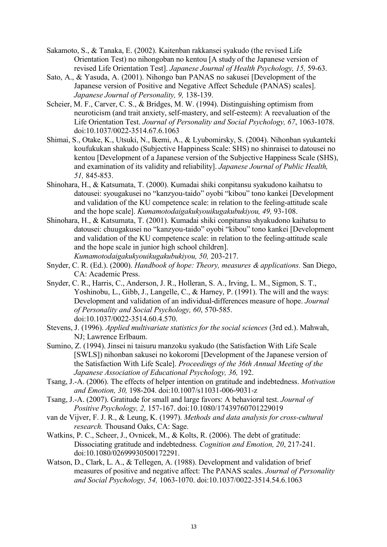- Sakamoto, S., & Tanaka, E. (2002). Kaitenban rakkansei syakudo (the revised Life Orientation Test) no nihongoban no kentou [A study of the Japanese version of revised Life Orientation Test]. *Japanese Journal of Health Psychology, 15,* 59-63.
- Sato, A., & Yasuda, A. (2001). Nihongo ban PANAS no sakusei [Development of the Japanese version of Positive and Negative Affect Schedule (PANAS) scales]. *Japanese Journal of Personality, 9,* 138-139.
- Scheier, M. F., Carver, C. S., & Bridges, M. W. (1994). Distinguishing optimism from neuroticism (and trait anxiety, self-mastery, and self-esteem): A reevaluation of the Life Orientation Test. *Journal of Personality and Social Psychology, 67*, 1063-1078. doi:10.1037/0022-3514.67.6.1063
- Shimai, S., Otake, K., Utsuki, N., Ikemi, A., & Lyubomirsky, S. (2004). Nihonban syukanteki koufukukan shakudo (Subjective Happiness Scale: SHS) no shinraisei to datousei no kentou [Development of a Japanese version of the Subjective Happiness Scale (SHS), and examination of its validity and reliability]. *Japanese Journal of Public Health, 51,* 845-853.
- Shinohara, H., & Katsumata, T. (2000). Kumadai shiki conpitansu syakudono kaihatsu to datousei: syougakusei no "kanzyou-taido" oyobi "kibou" tono kankei [Development and validation of the KU competence scale: in relation to the feeling-attitude scale and the hope scale]. *Kumamotodaigakukyouikugakubukiyou, 49,* 93-108.
- Shinohara, H., & Katsumata, T. (2001). Kumadai shiki conpitansu shyakudono kaihatsu to datousei: chuugakusei no "kanzyou-taido" oyobi "kibou" tono kankei [Development and validation of the KU competence scale: in relation to the feeling-attitude scale and the hope scale in junior high school children]. *Kumamotodaigakukyouikugakubukiyou, 50,* 203-217.
- Snyder, C. R. (Ed.). (2000). *Handbook of hope: Theory, measures & applications.* San Diego, CA: Academic Press.
- Snyder, C. R., Harris, C., Anderson, J. R., Holleran, S. A., Irving, L. M., Sigmon, S. T., Yoshinobu, L., Gibb, J., Langelle, C., & Harney, P. (1991). The will and the ways: Development and validation of an individual-differences measure of hope. *Journal of Personality and Social Psychology, 60*, 570-585. doi:10.1037/0022-3514.60.4.570.
- Stevens, J. (1996). *Applied multivariate statistics for the social sciences* (3rd ed.). Mahwah, NJ; Lawrence Erlbaum.
- Sumino, Z. (1994). Jinsei ni taisuru manzoku syakudo (the Satisfaction With Life Scale [SWLS]) nihonban sakusei no kokoromi [Development of the Japanese version of the Satisfaction With Life Scale]. *Proceedings of the 36th Annual Meeting of the Japanese Association of Educational Psychology, 36,* 192.
- Tsang, J.-A. (2006). The effects of helper intention on gratitude and indebtedness. *Motivation and Emotion, 30,* 198-204. doi:10.1007/s11031-006-9031-z
- Tsang, J.-A. (2007). Gratitude for small and large favors: A behavioral test. *Journal of Positive Psychology, 2,* 157-167. doi:10.1080/17439760701229019
- van de Vijver, F. J. R., & Leung, K. (1997). *Methods and data analysis for cross-cultural research.* Thousand Oaks, CA: Sage.
- Watkins, P. C., Scheer, J., Ovnicek, M., & Kolts, R. (2006). The debt of gratitude: Dissociating gratitude and indebtedness. *Cognition and Emotion, 20*, 217-241. doi:10.1080/02699930500172291.
- Watson, D., Clark, L. A., & Tellegen, A. (1988). Development and validation of brief measures of positive and negative affect: The PANAS scales. *Journal of Personality and Social Psychology, 54,* 1063-1070. doi:10.1037/0022-3514.54.6.1063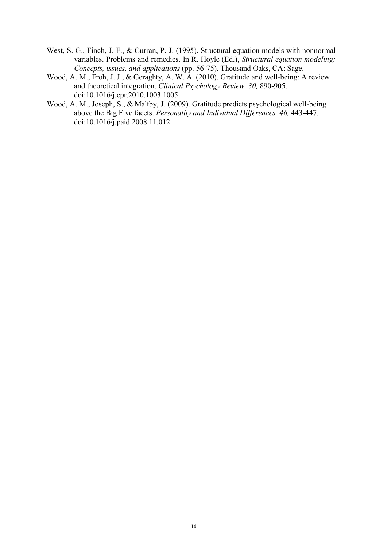- West, S. G., Finch, J. F., & Curran, P. J. (1995). Structural equation models with nonnormal variables. Problems and remedies. In R. Hoyle (Ed.), *Structural equation modeling: Concepts, issues, and applications* (pp. 56-75). Thousand Oaks, CA: Sage.
- Wood, A. M., Froh, J. J., & Geraghty, A. W. A. (2010). Gratitude and well-being: A review and theoretical integration. *Clinical Psychology Review, 30,* 890-905. doi:10.1016/j.cpr.2010.1003.1005
- Wood, A. M., Joseph, S., & Maltby, J. (2009). Gratitude predicts psychological well-being above the Big Five facets. *Personality and Individual Differences, 46,* 443-447. doi:10.1016/j.paid.2008.11.012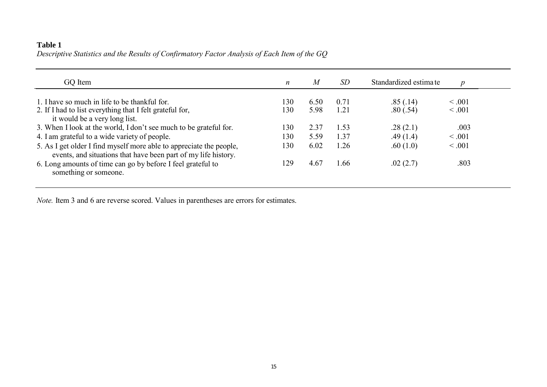# **Table 1** *Descriptive Statistics and the Results of Confirmatory Factor Analysis of Each Item of the GQ*

| GO Item                                                                                                                               | n   | M    | <i>SD</i> | Standardized estimate | $\boldsymbol{p}$ |
|---------------------------------------------------------------------------------------------------------------------------------------|-----|------|-----------|-----------------------|------------------|
| 1. I have so much in life to be thankful for.                                                                                         | 130 | 6.50 | 0.71      | .85(.14)              | $\leq .001$      |
| 2. If I had to list everything that I felt grateful for,<br>it would be a very long list.                                             | 130 | 5.98 | 1.21      | .80(.54)              | < 0.001          |
| 3. When I look at the world, I don't see much to be grateful for.                                                                     | 130 | 2.37 | 1.53      | .28(2.1)              | .003             |
| 4. I am grateful to a wide variety of people.                                                                                         | 130 | 5.59 | 1.37      | .49(1.4)              | < 0.001          |
| 5. As I get older I find myself more able to appreciate the people,<br>events, and situations that have been part of my life history. | 130 | 6.02 | 1.26      | .60(1.0)              | < 0.001          |
| 6. Long amounts of time can go by before I feel grateful to<br>something or someone.                                                  | 129 | 4.67 | 1.66      | .02(2.7)              | .803             |

*Note.* Item 3 and 6 are reverse scored. Values in parentheses are errors for estimates.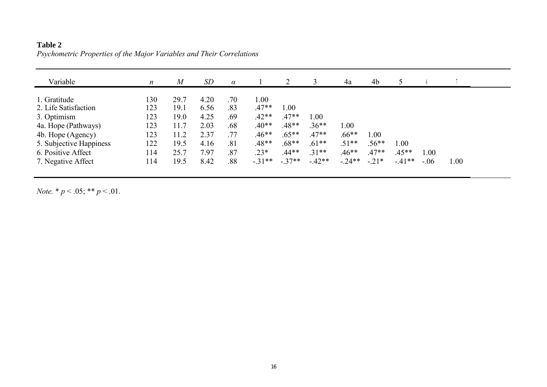| Variable                | $\boldsymbol{n}$ | $\overline{M}$ | SD   | $\alpha$ |         |         |         | 4a       | 4b       |         |         |      |
|-------------------------|------------------|----------------|------|----------|---------|---------|---------|----------|----------|---------|---------|------|
|                         |                  |                |      |          |         |         |         |          |          |         |         |      |
| 1. Gratitude            | 130              | 29.7           | 4.20 | .70      | 1.00    |         |         |          |          |         |         |      |
| 2. Life Satisfaction    | 123              | 19.1           | 6.56 | .83      | $.47**$ | 1.00    |         |          |          |         |         |      |
| 3. Optimism             | 123              | 19.0           | 4.25 | .69      | $.42**$ | $.47**$ | 1.00    |          |          |         |         |      |
| 4a. Hope (Pathways)     | 123              | 11.7           | 2.03 | .68      | $.40**$ | $.48**$ | $.36**$ | $1.00\,$ |          |         |         |      |
| 4b. Hope (Agency)       | 123              | 11.2           | 2.37 | .77      | $.46**$ | $.65**$ | $.47**$ | $.66**$  | $1.00\,$ |         |         |      |
| 5. Subjective Happiness | 122              | 19.5           | 4.16 | .81      | $.48**$ | $.68**$ | $.61**$ | $.51**$  | $.56**$  | 1.00    |         |      |
| 6. Positive Affect      | 114              | 25.7           | 7.97 | .87      | $.23*$  | $.44**$ | $.31**$ | $.46**$  | $.47**$  | $.45**$ | 1.00    |      |
| 7. Negative Affect      | 114              | 19.5           | 8.42 | .88      | $-31**$ | $-37**$ | $-42**$ | $-.24**$ | $-.21*$  | $-41**$ | $-0.06$ | 1.00 |

# **Table 2** *Psychometric Properties of the Major Variables and Their Correlations*

*Note.*  $* p < .05; ** p < .01$ .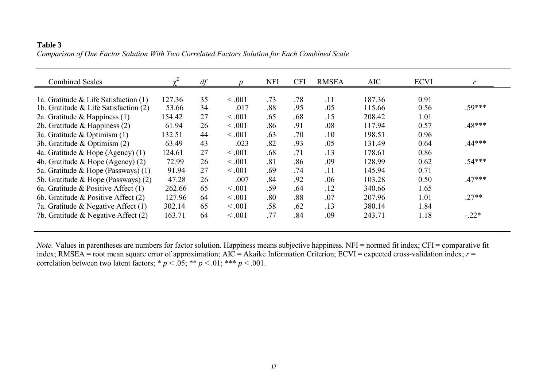## **Table 3** *Comparison of One Factor Solution With Two Correlated Factors Solution for Each Combined Scale*

| <b>Combined Scales</b>                   |        | df |             | <b>NFI</b> | <b>CFI</b> | <b>RMSEA</b> | <b>AIC</b> | <b>ECVI</b> |          |
|------------------------------------------|--------|----|-------------|------------|------------|--------------|------------|-------------|----------|
|                                          |        |    |             |            |            |              |            |             |          |
| 1a. Gratitude & Life Satisfaction (1)    | 127.36 | 35 | $\leq .001$ | .73        | .78        | .11          | 187.36     | 0.91        |          |
| 1b. Gratitude $\&$ Life Satisfaction (2) | 53.66  | 34 | .017        | .88        | .95        | .05          | 115.66     | 0.56        | .59***   |
| 2a. Gratitude & Happiness $(1)$          | 154.42 | 27 | < 0.001     | .65        | .68        | .15          | 208.42     | 1.01        |          |
| 2b. Gratitude & Happiness (2)            | 61.94  | 26 | < 0.001     | .86        | .91        | .08          | 117.94     | 0.57        | $.48***$ |
| 3a. Gratitude & Optimism $(1)$           | 132.51 | 44 | $\leq .001$ | .63        | .70        | .10          | 198.51     | 0.96        |          |
| 3b. Gratitude & Optimism (2)             | 63.49  | 43 | .023        | .82        | .93        | .05          | 131.49     | 0.64        | .44***   |
| 4a. Gratitude & Hope (Agency) (1)        | 124.61 | 27 | $\leq .001$ | .68        | .71        | .13          | 178.61     | 0.86        |          |
| 4b. Gratitude & Hope (Agency) $(2)$      | 72.99  | 26 | $\leq .001$ | .81        | .86        | .09          | 128.99     | 0.62        | $.54***$ |
| 5a. Gratitude & Hope (Passways) (1)      | 91.94  | 27 | < 0.001     | .69        | .74        | .11          | 145.94     | 0.71        |          |
| 5b. Gratitude & Hope (Passways) (2)      | 47.28  | 26 | .007        | .84        | .92        | .06          | 103.28     | 0.50        | $.47***$ |
| 6a. Gratitude & Positive Affect (1)      | 262.66 | 65 | $\leq .001$ | .59        | .64        | .12          | 340.66     | 1.65        |          |
| 6b. Gratitude & Positive Affect $(2)$    | 127.96 | 64 | $\leq .001$ | .80        | .88        | .07          | 207.96     | 1.01        | $.27**$  |
| 7a. Gratitude & Negative Affect $(1)$    | 302.14 | 65 | < 0.001     | .58        | .62        | .13          | 380.14     | 1.84        |          |
| 7b. Gratitude & Negative Affect $(2)$    | 163.71 | 64 | < 0.001     | .77        | .84        | .09          | 243.71     | 1.18        | $-.22*$  |

*Note.* Values in parentheses are numbers for factor solution. Happiness means subjective happiness. NFI = normed fit index; CFI = comparative fit index; RMSEA = root mean square error of approximation; AIC = Akaike Information Criterion; ECVI = expected cross-validation index; *r* = correlation between two latent factors;  $* p < .05$ ;  $** p < .01$ ;  $*** p < .001$ .